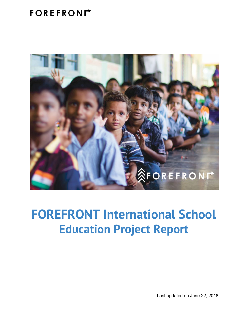### FOREFRONM



### **FOREFRONT International School Education Project Report**

Last updated on June 22, 2018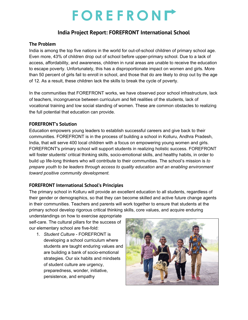# FOREFRONL

### **India Project Report: FOREFRONT International School**

#### **The Problem**

India is among the top five nations in the world for out-of-school children of primary school age. Even more, 43% of children drop out of school before upper-primary school. Due to a lack of access, affordability, and awareness, children in rural areas are unable to receive the education to escape poverty. Unfortunately, this has a disproportionate impact on women and girls. More than 50 percent of girls fail to enroll in school, and those that do are likely to drop out by the age of 12. As a result, these children lack the skills to break the cycle of poverty.

In the communities that FOREFRONT works, we have observed poor school infrastructure, lack of teachers, incongruence between curriculum and felt realities of the students, lack of vocational training and low social standing of women. These are common obstacles to realizing the full potential that education can provide.

#### **FOREFRONT's Solution**

Education empowers young leaders to establish successful careers and give back to their communities. FOREFRONT is in the process of building a school in Kolluru, Andhra Pradesh, India, that will serve 400 local children with a focus on empowering young women and girls. FOREFRONT's primary school will support students in realizing holistic success. FOREFRONT will foster students' critical thinking skills, socio-emotional skills, and healthy habits, in order to build up life-long thinkers who will contribute to their communities. The school's mission is *to prepare youth to be leaders through access to quality education and an enabling environment toward positive community development.*

#### **FOREFRONT International School's Principles**

The primary school in Kolluru will provide an excellent education to all students, regardless of their gender or demographics, so that they can become skilled and active future change agents in their communities. Teachers and parents will work together to ensure that students at the primary school develop rigorous critical thinking skills, core values, and acquire enduring

understandings on how to exercise appropriate self-care. The cultural pillars for the success of our elementary school are five-fold:

1. *Student Culture* - FOREFRONT is developing a school curriculum where students are taught enduring values and are building a bank of socio-emotional strategies. Our six habits and mindsets of student culture are urgency, preparedness, wonder, initiative, persistence, and empathy

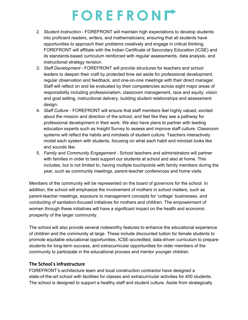## FOREFRONL

- 2. *Student Instruction* FOREFRONT will maintain high expectations to develop students into proficient readers, writers, and mathematicians; ensuring that all students have opportunities to approach their problems creatively and engage in critical thinking. FOREFRONT will affiliate with the Indian Certificate of Secondary Education (ICSE) and its standards-based curriculum reinforced with regular assessments, data analysis, and instructional strategy revision.
- 3. *Staff Development* FOREFRONT will provide structures for teachers and school leaders to deepen their craft by protected time set aside for professional development, regular observation and feedback, and one-on-one meetings with their direct manager. Staff will reflect on and be evaluated by their competencies across eight major areas of responsibility including professionalism, classroom management, race and equity, vision and goal setting, instructional delivery, building student relationships and assessment design.
- 4. *Staff Culture* FOREFRONT will ensure that staff members feel highly valued, excited about the mission and direction of the school, and feel like they see a pathway for professional development in their work. We also have plans to partner with leading education experts such as Insight Survey to assess and improve staff culture. Classroom systems will reflect the habits and mindsets of student culture. Teachers interactively model each system with students, focusing on what each habit and mindset looks like and sounds like.
- 5. *Family and Community Engagement* School teachers and administrators will partner with families in order to best support our students at school and also at home. This includes, but is not limited to, having multiple touchpoints with family members during the year, such as community meetings, parent-teacher conferences and home visits.

Members of the community will be represented on the board of governors for the school. In addition, the school will emphasize the involvement of mothers in school matters, such as parent-teacher meetings, exposure to management concepts for 'cottage' businesses, and conducting of sanitation-focused initiatives for mothers and children. The empowerment of women through these initiatives will have a significant impact on the health and economic prosperity of the larger community.

The school will also provide several noteworthy features to enhance the educational experience of children and the community at large. These include discounted tuition for female students to promote equitable educational opportunities, ICSE-accredited, data-driven curriculum to prepare students for long-term success, and extracurricular opportunities for older members of the community to participate in the educational process and mentor younger children.

#### **The School's Infrastructure**

FOREFRONT's architecture team and local construction contractor have designed a state-of-the-art school with facilities for classes and extracurricular activities for 400 students. The school is designed to support a healthy staff and student culture. Aside from strategically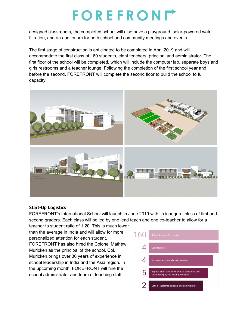## FOREFRONIT

designed classrooms, the completed school will also have a playground, solar-powered water filtration, and an auditorium for both school and community meetings and events.

The first stage of construction is anticipated to be completed in April 2019 and will accommodate the first class of 160 students, eight teachers, principal and administrator. The first floor of the school will be completed, which will include the computer lab, separate boys and girls restrooms and a teacher lounge. Following the completion of the first school year and before the second, FOREFRONT will complete the second floor to build the school to full capacity.



#### **Start-Up Logistics**

FOREFRONT's International School will launch in June 2019 with its inaugural class of first and second graders. Each class will be led by one lead teach and one co-teacher to allow for a

teacher to student ratio of 1:20. This is much lower than the average in India and will allow for more personalized attention for each student. FOREFRONT has also hired the Colonel Mathew Muricken as the principal of the school. Col. Muricken brings over 30 years of experience in school leadership in India and the Asia region. In the upcoming month, FOREFRONT will hire the school administrator and team of teaching staff.

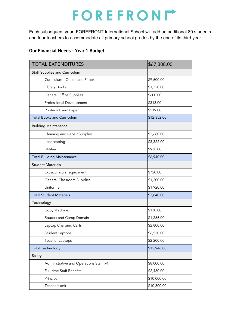## FOREFRONL

Each subsequent year, FOREFRONT International School will add an additional 80 students and four teachers to accommodate all primary school grades by the end of its third year.

### **Our Financial Needs - Year 1 Budget**

| <b>TOTAL EXPENDITURES</b>                | \$67,308.00 |
|------------------------------------------|-------------|
| <b>Staff Supplies and Curriculum</b>     |             |
| Curriculum - Online and Paper            | \$9,600.00  |
| Library Books                            | \$1,320.00  |
| <b>General Office Supplies</b>           | \$600.00    |
| Professional Development                 | \$313.00    |
| Printer Ink and Paper                    | \$519.00    |
| <b>Total Books and Curriculum</b>        | \$12,352.00 |
| <b>Building Maintenance</b>              |             |
| Cleaning and Repair Supplies             | \$2,680.00  |
| Landscaping                              | \$3,322.00  |
| Utilities                                | \$938.00    |
| <b>Total Building Maintenance</b>        | \$6,940.00  |
| <b>Student Materials</b>                 |             |
| Extracurricular equipment                | \$720.00    |
| General Classroom Supplies               | \$1,200.00  |
| Uniforms                                 | \$1,920.00  |
| <b>Total Student Materials</b>           | \$3,840.00  |
| Technology                               |             |
| Copy Machine                             | \$130.00    |
| Routers and Comp Domain                  | \$1,266.00  |
| Laptop Charging Carts                    | \$2,800.00  |
| Student Laptops                          | \$6,550.00  |
| Teacher Laptops                          | \$2,200.00  |
| <b>Total Technology</b>                  | \$12,946.00 |
| Salary                                   |             |
| Administrative and Operations Staff (x4) | \$8,000.00  |
| Full-time Staff Benefits                 | \$2,430.00  |
| Principal                                | \$10,000.00 |
| Teachers (x4)                            | \$10,800.00 |